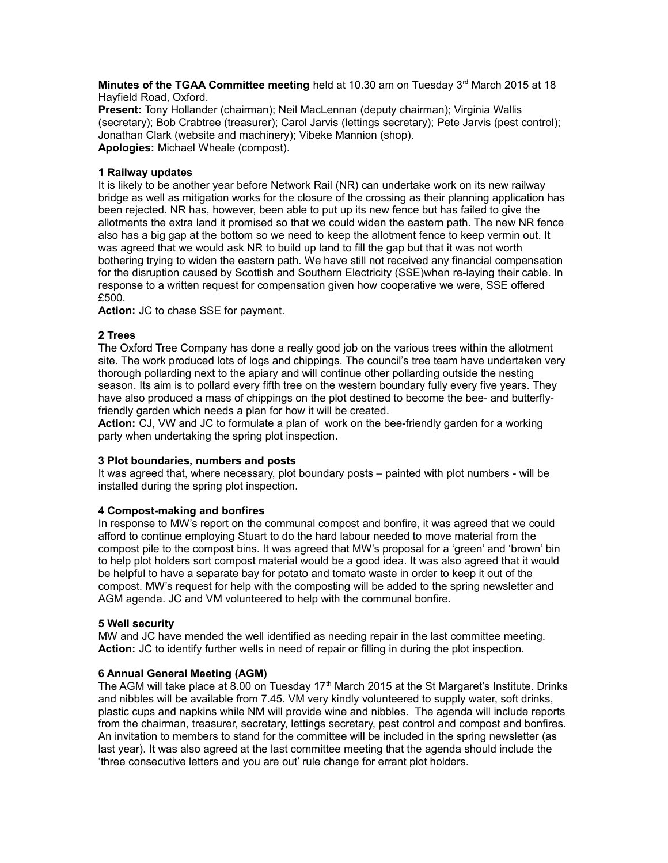**Minutes of the TGAA Committee meeting** held at 10.30 am on Tuesday 3<sup>rd</sup> March 2015 at 18 Hayfield Road, Oxford.

**Present:** Tony Hollander (chairman); Neil MacLennan (deputy chairman); Virginia Wallis (secretary); Bob Crabtree (treasurer); Carol Jarvis (lettings secretary); Pete Jarvis (pest control); Jonathan Clark (website and machinery); Vibeke Mannion (shop). **Apologies:** Michael Wheale (compost).

## **1 Railway updates**

It is likely to be another year before Network Rail (NR) can undertake work on its new railway bridge as well as mitigation works for the closure of the crossing as their planning application has been rejected. NR has, however, been able to put up its new fence but has failed to give the allotments the extra land it promised so that we could widen the eastern path. The new NR fence also has a big gap at the bottom so we need to keep the allotment fence to keep vermin out. It was agreed that we would ask NR to build up land to fill the gap but that it was not worth bothering trying to widen the eastern path. We have still not received any financial compensation for the disruption caused by Scottish and Southern Electricity (SSE)when re-laying their cable. In response to a written request for compensation given how cooperative we were, SSE offered £500.

**Action:** JC to chase SSE for payment.

# **2 Trees**

The Oxford Tree Company has done a really good job on the various trees within the allotment site. The work produced lots of logs and chippings. The council's tree team have undertaken very thorough pollarding next to the apiary and will continue other pollarding outside the nesting season. Its aim is to pollard every fifth tree on the western boundary fully every five years. They have also produced a mass of chippings on the plot destined to become the bee- and butterflyfriendly garden which needs a plan for how it will be created.

**Action:** CJ, VW and JC to formulate a plan of work on the bee-friendly garden for a working party when undertaking the spring plot inspection.

### **3 Plot boundaries, numbers and posts**

It was agreed that, where necessary, plot boundary posts – painted with plot numbers - will be installed during the spring plot inspection.

# **4 Compost-making and bonfires**

In response to MW's report on the communal compost and bonfire, it was agreed that we could afford to continue employing Stuart to do the hard labour needed to move material from the compost pile to the compost bins. It was agreed that MW's proposal for a 'green' and 'brown' bin to help plot holders sort compost material would be a good idea. It was also agreed that it would be helpful to have a separate bay for potato and tomato waste in order to keep it out of the compost. MW's request for help with the composting will be added to the spring newsletter and AGM agenda. JC and VM volunteered to help with the communal bonfire.

### **5 Well security**

MW and JC have mended the well identified as needing repair in the last committee meeting. **Action:** JC to identify further wells in need of repair or filling in during the plot inspection.

# **6 Annual General Meeting (AGM)**

The AGM will take place at 8.00 on Tuesday 17<sup>th</sup> March 2015 at the St Margaret's Institute. Drinks and nibbles will be available from 7.45. VM very kindly volunteered to supply water, soft drinks, plastic cups and napkins while NM will provide wine and nibbles. The agenda will include reports from the chairman, treasurer, secretary, lettings secretary, pest control and compost and bonfires. An invitation to members to stand for the committee will be included in the spring newsletter (as last year). It was also agreed at the last committee meeting that the agenda should include the 'three consecutive letters and you are out' rule change for errant plot holders.